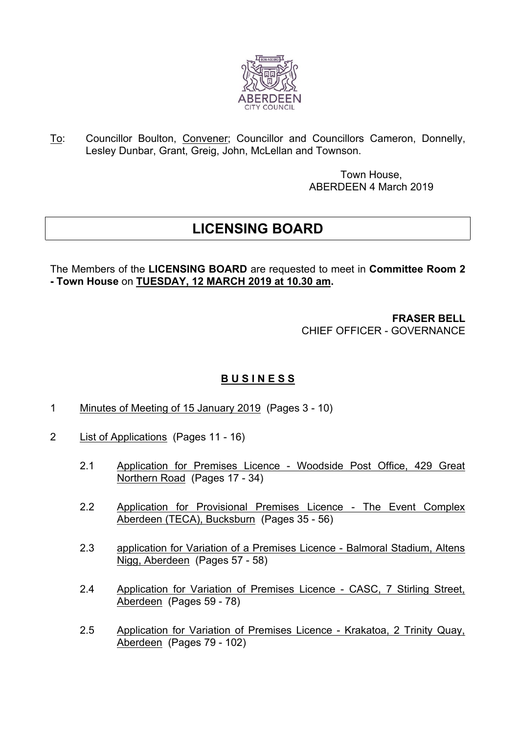

To: Councillor Boulton, Convener; Councillor and Councillors Cameron, Donnelly, Lesley Dunbar, Grant, Greig, John, McLellan and Townson.

> Town House, ABERDEEN 4 March 2019

## **LICENSING BOARD**

The Members of the **LICENSING BOARD** are requested to meet in **Committee Room 2 - Town House** on **TUESDAY, 12 MARCH 2019 at 10.30 am.**

> **FRASER BELL** CHIEF OFFICER - GOVERNANCE

## **B U S I N E S S**

- 1 Minutes of Meeting of 15 January 2019 (Pages 3 10)
- 2 List of Applications (Pages 11 16)
	- 2.1 Application for Premises Licence Woodside Post Office, 429 Great Northern Road (Pages 17 - 34)
	- 2.2 Application for Provisional Premises Licence The Event Complex Aberdeen (TECA), Bucksburn (Pages 35 - 56)
	- 2.3 application for Variation of a Premises Licence Balmoral Stadium, Altens Nigg, Aberdeen (Pages 57 - 58)
	- 2.4 Application for Variation of Premises Licence CASC, 7 Stirling Street, Aberdeen (Pages 59 - 78)
	- 2.5 Application for Variation of Premises Licence Krakatoa, 2 Trinity Quay, Aberdeen (Pages 79 - 102)